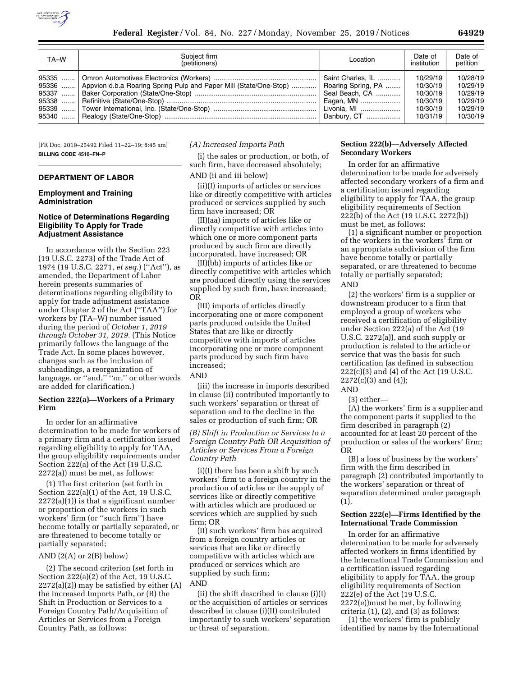

| TA-W           | Subiect firm<br>(petitioners)                                     | Location                                                                                             | Date of<br>institution                                               | Date of<br>petition                                                  |
|----------------|-------------------------------------------------------------------|------------------------------------------------------------------------------------------------------|----------------------------------------------------------------------|----------------------------------------------------------------------|
| 95336<br>95337 | Appvion d.b.a Roaring Spring Pulp and Paper Mill (State/One-Stop) | Saint Charles. IL<br>Roaring Spring, PA<br>Seal Beach, CA<br>Eagan, MN<br>Livonia, MI<br>Danbury, CT | 10/29/19<br>10/30/19<br>10/30/19<br>10/30/19<br>10/30/19<br>10/31/19 | 10/28/19<br>10/29/19<br>10/29/19<br>10/29/19<br>10/29/19<br>10/30/19 |

[FR Doc. 2019–25492 Filed 11–22–19; 8:45 am] **BILLING CODE 4510–FN–P** 

# **DEPARTMENT OF LABOR**

#### **Employment and Training Administration**

### **Notice of Determinations Regarding Eligibility To Apply for Trade Adjustment Assistance**

In accordance with the Section 223 (19 U.S.C. 2273) of the Trade Act of 1974 (19 U.S.C. 2271, *et seq.*) (''Act''), as amended, the Department of Labor herein presents summaries of determinations regarding eligibility to apply for trade adjustment assistance under Chapter 2 of the Act (''TAA'') for workers by (TA–W) number issued during the period of *October 1, 2019 through October 31, 2019.* (This Notice primarily follows the language of the Trade Act. In some places however, changes such as the inclusion of subheadings, a reorganization of language, or ''and,'' ''or,'' or other words are added for clarification.)

#### **Section 222(a)—Workers of a Primary Firm**

In order for an affirmative determination to be made for workers of a primary firm and a certification issued regarding eligibility to apply for TAA, the group eligibility requirements under Section 222(a) of the Act (19 U.S.C. 2272(a)) must be met, as follows:

(1) The first criterion (set forth in Section 222(a)(1) of the Act, 19 U.S.C.  $2272(a)(1)$ ) is that a significant number or proportion of the workers in such workers' firm (or ''such firm'') have become totally or partially separated, or are threatened to become totally or partially separated;

#### AND  $(2(A)$  or  $2(B)$  below)

(2) The second criterion (set forth in Section 222(a)(2) of the Act, 19 U.S.C.  $2272(a)(2)$  may be satisfied by either  $(A)$ the Increased Imports Path, or (B) the Shift in Production or Services to a Foreign Country Path/Acquisition of Articles or Services from a Foreign Country Path, as follows:

#### *(A) Increased Imports Path*

(i) the sales or production, or both, of such firm, have decreased absolutely; AND (ii and iii below)

(ii)(I) imports of articles or services like or directly competitive with articles produced or services supplied by such firm have increased; OR

(II)(aa) imports of articles like or directly competitive with articles into which one or more component parts produced by such firm are directly incorporated, have increased; OR

(II)(bb) imports of articles like or directly competitive with articles which are produced directly using the services supplied by such firm, have increased; OR

(III) imports of articles directly incorporating one or more component parts produced outside the United States that are like or directly competitive with imports of articles incorporating one or more component parts produced by such firm have increased;

### AND

(iii) the increase in imports described in clause (ii) contributed importantly to such workers' separation or threat of separation and to the decline in the sales or production of such firm; OR

#### *(B) Shift in Production or Services to a Foreign Country Path OR Acquisition of Articles or Services From a Foreign Country Path*

(i)(I) there has been a shift by such workers' firm to a foreign country in the production of articles or the supply of services like or directly competitive with articles which are produced or services which are supplied by such firm; OR

(II) such workers' firm has acquired from a foreign country articles or services that are like or directly competitive with articles which are produced or services which are supplied by such firm; AND

### (ii) the shift described in clause (i)(I) or the acquisition of articles or services described in clause (i)(II) contributed importantly to such workers' separation or threat of separation.

### **Section 222(b)—Adversely Affected Secondary Workers**

In order for an affirmative determination to be made for adversely affected secondary workers of a firm and a certification issued regarding eligibility to apply for TAA, the group eligibility requirements of Section 222(b) of the Act (19 U.S.C. 2272(b)) must be met, as follows:

(1) a significant number or proportion of the workers in the workers' firm or an appropriate subdivision of the firm have become totally or partially separated, or are threatened to become totally or partially separated; AND

(2) the workers' firm is a supplier or downstream producer to a firm that employed a group of workers who received a certification of eligibility under Section 222(a) of the Act (19 U.S.C. 2272(a)), and such supply or production is related to the article or service that was the basis for such certification (as defined in subsection 222(c)(3) and (4) of the Act (19 U.S.C. 2272(c)(3) and (4));

#### AND

(3) either—

(A) the workers' firm is a supplier and the component parts it supplied to the firm described in paragraph (2) accounted for at least 20 percent of the production or sales of the workers' firm; OR

(B) a loss of business by the workers' firm with the firm described in paragraph (2) contributed importantly to the workers' separation or threat of separation determined under paragraph (1).

#### **Section 222(e)—Firms Identified by the International Trade Commission**

In order for an affirmative determination to be made for adversely affected workers in firms identified by the International Trade Commission and a certification issued regarding eligibility to apply for TAA, the group eligibility requirements of Section 222(e) of the Act (19 U.S.C. 2272(e))must be met, by following criteria (1), (2), and (3) as follows:

(1) the workers' firm is publicly identified by name by the International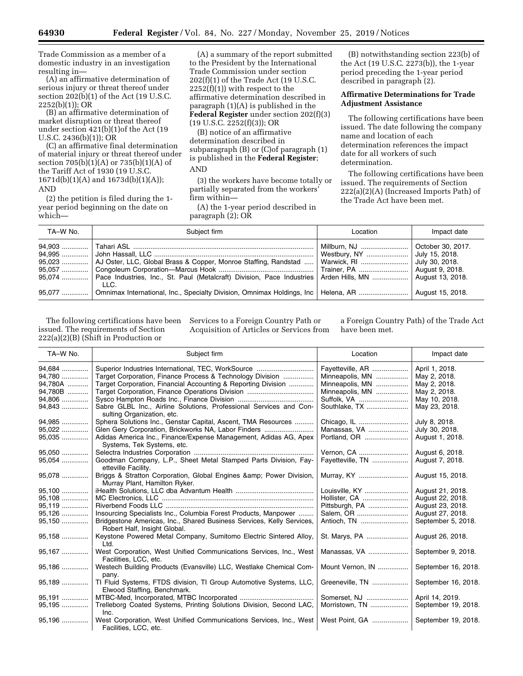Trade Commission as a member of a domestic industry in an investigation resulting in—

(A) an affirmative determination of serious injury or threat thereof under section 202(b)(1) of the Act (19 U.S.C. 2252(b)(1)); OR

(B) an affirmative determination of market disruption or threat thereof under section 421(b)(1)of the Act (19 U.S.C. 2436(b)(1)); OR

(C) an affirmative final determination of material injury or threat thereof under section 705(b)(1)(A) or 735(b)(1)(A) of the Tariff Act of 1930 (19 U.S.C. 1671d(b)(1)(A) and 1673d(b)(1)(A)); AND

(2) the petition is filed during the 1 year period beginning on the date on which—

(A) a summary of the report submitted to the President by the International Trade Commission under section 202(f)(1) of the Trade Act (19 U.S.C.  $2252(f)(1)$ ) with respect to the affirmative determination described in paragraph (1)(A) is published in the **Federal Register** under section 202(f)(3) (19 U.S.C. 2252(f)(3)); OR

(B) notice of an affirmative determination described in subparagraph (B) or (C)of paragraph (1) is published in the **Federal Register**; AND

(3) the workers have become totally or partially separated from the workers' firm within—

(A) the 1-year period described in paragraph (2); OR

(B) notwithstanding section 223(b) of the Act (19 U.S.C. 2273(b)), the 1-year period preceding the 1-year period described in paragraph (2).

# **Affirmative Determinations for Trade Adjustment Assistance**

The following certifications have been issued. The date following the company name and location of each determination references the impact date for all workers of such determination.

The following certifications have been issued. The requirements of Section 222(a)(2)(A) (Increased Imports Path) of the Trade Act have been met.

| TA-W No. | Subject firm                                                                                                                                                                                                                | Location                     | Impact date    |
|----------|-----------------------------------------------------------------------------------------------------------------------------------------------------------------------------------------------------------------------------|------------------------------|----------------|
|          | 95,023    AJ Oster, LLC, Global Brass & Copper, Monroe Staffing, Randstad    Warwick, RI<br>95,074    Pace Industries, Inc., St. Paul (Metalcraft) Division, Pace Industries   Arden Hills, MN    August 13, 2018.<br>11 G. | Westbury, NY  July 15, 2018. | July 30, 2018. |
|          | 95,077    Omnimax International, Inc., Specialty Division, Omnimax Holdings, Inc   Helena, AR    August 15, 2018.                                                                                                           |                              |                |

The following certifications have been issued. The requirements of Section 222(a)(2)(B) (Shift in Production or

Services to a Foreign Country Path or Acquisition of Articles or Services from

a Foreign Country Path) of the Trade Act have been met.

| TA-W No. | Subject firm                                                                                          | Location         | Impact date         |
|----------|-------------------------------------------------------------------------------------------------------|------------------|---------------------|
| 94.684   | Superior Industries International, TEC, WorkSource                                                    | Fayetteville, AR | April 1, 2018.      |
| 94,780   | Target Corporation, Finance Process & Technology Division                                             | Minneapolis, MN  | May 2, 2018.        |
| 94,780A  | Target Corporation, Financial Accounting & Reporting Division                                         | Minneapolis, MN  | May 2, 2018.        |
| 94,780B  | Target Corporation, Finance Operations Division                                                       | Minneapolis, MN  | May 2, 2018.        |
| 94,806   |                                                                                                       | Suffolk, VA      | May 10, 2018.       |
| 94,843   | Sabre GLBL Inc., Airline Solutions, Professional Services and Con-<br>sulting Organization, etc.      | Southlake, TX    | May 23, 2018.       |
| 94,985   | Sphera Solutions Inc., Genstar Capital, Ascent, TMA Resources                                         | Chicago, IL      | July 8, 2018.       |
| 95,022   | Glen Gery Corporation, Brickworks NA, Labor Finders                                                   | Manassas, VA     | July 30, 2018.      |
| 95,035   | Adidas America Inc., Finance/Expense Management, Adidas AG, Apex<br>Systems, Tek Systems, etc.        | Portland, OR     | August 1, 2018.     |
| 95,050   |                                                                                                       | Vernon, CA       | August 6, 2018.     |
| 95,054   | Goodman Company, L.P., Sheet Metal Stamped Parts Division, Fay-<br>etteville Facility.                | Fayetteville, TN | August 7, 2018.     |
| 95,078   | Briggs & Stratton Corporation, Global Engines & amp; Power Division,<br>Murray Plant, Hamilton Ryker. | Murray, KY       | August 15, 2018.    |
| 95.100   |                                                                                                       | Louisville, KY   | August 21, 2018.    |
| 95,108   |                                                                                                       | Hollister, CA    | August 22, 2018.    |
| 95,119   |                                                                                                       | Pittsburgh, PA   | August 23, 2018.    |
| 95,126   | Insourcing Specialists Inc., Columbia Forest Products, Manpower                                       | Salem, OR        | August 27, 2018.    |
| 95,150   | Bridgestone Americas, Inc., Shared Business Services, Kelly Services,<br>Robert Half, Insight Global. | Antioch, TN      | September 5, 2018.  |
| 95,158   | Keystone Powered Metal Company, Sumitomo Electric Sintered Alloy,<br>Ltd.                             | St. Marys, PA    | August 26, 2018.    |
| 95,167   | West Corporation, West Unified Communications Services, Inc., West<br>Facilities, LCC, etc.           | Manassas, VA     | September 9, 2018.  |
| 95,186   | Westech Building Products (Evansville) LLC, Westlake Chemical Com-<br>pany.                           | Mount Vernon, IN | September 16, 2018. |
| 95,189   | TI Fluid Systems, FTDS division, TI Group Automotive Systems, LLC,<br>Elwood Staffing, Benchmark.     | Greeneville, TN  | September 16, 2018. |
| 95,191   |                                                                                                       | Somerset, NJ     | April 14, 2019.     |
| 95,195   | Trelleborg Coated Systems, Printing Solutions Division, Second LAC,<br>Inc.                           | Morristown, TN   | September 19, 2018. |
| 95,196   | West Corporation, West Unified Communications Services, Inc., West<br>Facilities, LCC, etc.           | West Point, GA   | September 19, 2018. |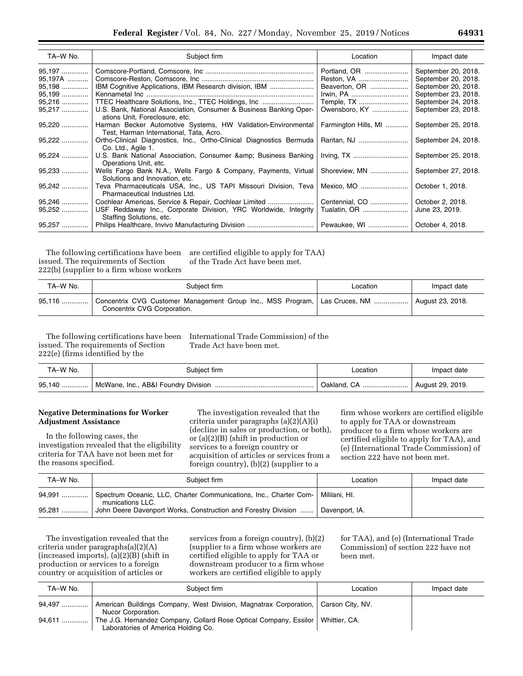| TA-W No. | Subject firm                                                                                             | Location                                                             | Impact date         |
|----------|----------------------------------------------------------------------------------------------------------|----------------------------------------------------------------------|---------------------|
| 95,197   |                                                                                                          | Portland, OR                                                         | September 20, 2018. |
| 95,197A  |                                                                                                          | Reston, VA                                                           | September 20, 2018. |
| 95,198   | IBM Cognitive Applications, IBM Research division, IBM                                                   | Beaverton, OR                                                        | September 20, 2018. |
| 95,199   |                                                                                                          | Irwin, PA                                                            | September 23, 2018. |
| 95,216   | TTEC Healthcare Solutions, Inc., TTEC Holdings, Inc                                                      | Temple, TX                                                           | September 24, 2018. |
| 95,217   | U.S. Bank, National Association, Consumer & Business Banking Oper-<br>ations Unit, Foreclosure, etc.     | Owensboro, KY                                                        | September 23, 2018. |
| 95,220   | Harman Becker Automotive Systems, HW Validation-Environmental<br>Test, Harman International, Tata, Acro. | Farmington Hills, MI                                                 | September 25, 2018. |
| 95,222   | Ortho-Clinical Diagnostics, Inc., Ortho-Clinical Diagnostics Bermuda<br>Co. Ltd., Agile 1.               | Raritan, NJ                                                          | September 24, 2018. |
| 95,224   | U.S. Bank National Association, Consumer & Business Banking<br>Operations Unit, etc.                     | $Iiving, TX, \ldots, \ldots, \ldots, \ldots, \ldots, \ldots, \ldots$ | September 25, 2018. |
| 95,233   | Wells Fargo Bank N.A., Wells Fargo & Company, Payments, Virtual<br>Solutions and Innovation, etc.        | Shoreview, MN                                                        | September 27, 2018. |
| 95,242   | Teva Pharmaceuticals USA, Inc., US TAPI Missouri Division, Teva<br>Pharmaceutical Industries Ltd.        | Mexico, MO                                                           | October 1, 2018.    |
| 95,246   | Cochlear Americas, Service & Repair, Cochlear Limited                                                    | Centennial, CO                                                       | October 2, 2018.    |
| $95,252$ | USF Reddaway Inc., Corporate Division, YRC Worldwide, Integrity<br>Staffing Solutions, etc.              |                                                                      | June 23, 2019.      |
| 95,257   |                                                                                                          | Pewaukee, WI                                                         | October 4, 2018.    |

The following certifications have been issued. The requirements of Section 222(b) (supplier to a firm whose workers

are certified eligible to apply for TAA) of the Trade Act have been met.

| TA-W No. | Subiect firm                                                                                                                  | Location | Impact date |
|----------|-------------------------------------------------------------------------------------------------------------------------------|----------|-------------|
| 95,116   | Concentrix CVG Customer Management Group Inc., MSS Program, Las Cruces, NM    August 23, 2018.<br>Concentrix CVG Corporation. |          |             |

issued. The requirements of Section 222(e) (firms identified by the

The following certifications have been International Trade Commission) of the Trade Act have been met.

| TA-W No. | Subject firm | Location                        | Impact date |
|----------|--------------|---------------------------------|-------------|
|          |              | Oakland, CA    August 29, 2019. |             |

# **Negative Determinations for Worker Adjustment Assistance**

In the following cases, the investigation revealed that the eligibility criteria for TAA have not been met for the reasons specified.

The investigation revealed that the criteria under paragraphs (a)(2)(A)(i) (decline in sales or production, or both), or (a)(2)(B) (shift in production or services to a foreign country or acquisition of articles or services from a foreign country), (b)(2) (supplier to a

firm whose workers are certified eligible to apply for TAA or downstream producer to a firm whose workers are certified eligible to apply for TAA), and (e) (International Trade Commission) of section 222 have not been met.

| TA-W No. | Subiect firm                                                                                          | Location | Impact date |
|----------|-------------------------------------------------------------------------------------------------------|----------|-------------|
|          | Spectrum Oceanic, LLC, Charter Communications, Inc., Charter Com-   Mililani, HI.<br>munications LLC. |          |             |
|          | John Deere Davenport Works, Construction and Forestry Division    Davenport, IA.                      |          |             |

The investigation revealed that the criteria under paragraphs(a)(2)(A) (increased imports), (a)(2)(B) (shift in production or services to a foreign country or acquisition of articles or

services from a foreign country), (b)(2) (supplier to a firm whose workers are certified eligible to apply for TAA or downstream producer to a firm whose workers are certified eligible to apply

for TAA), and (e) (International Trade Commission) of section 222 have not been met.

| TA-W No. | Subject firm                                                                                                             | Location | Impact date |
|----------|--------------------------------------------------------------------------------------------------------------------------|----------|-------------|
| 94,497 ! | American Buildings Company, West Division, Magnatrax Corporation,   Carson City, NV.<br>Nucor Corporation.               |          |             |
|          | The J.G. Hernandez Company, Collard Rose Optical Company, Essilor   Whittier, CA.<br>Laboratories of America Holding Co. |          |             |